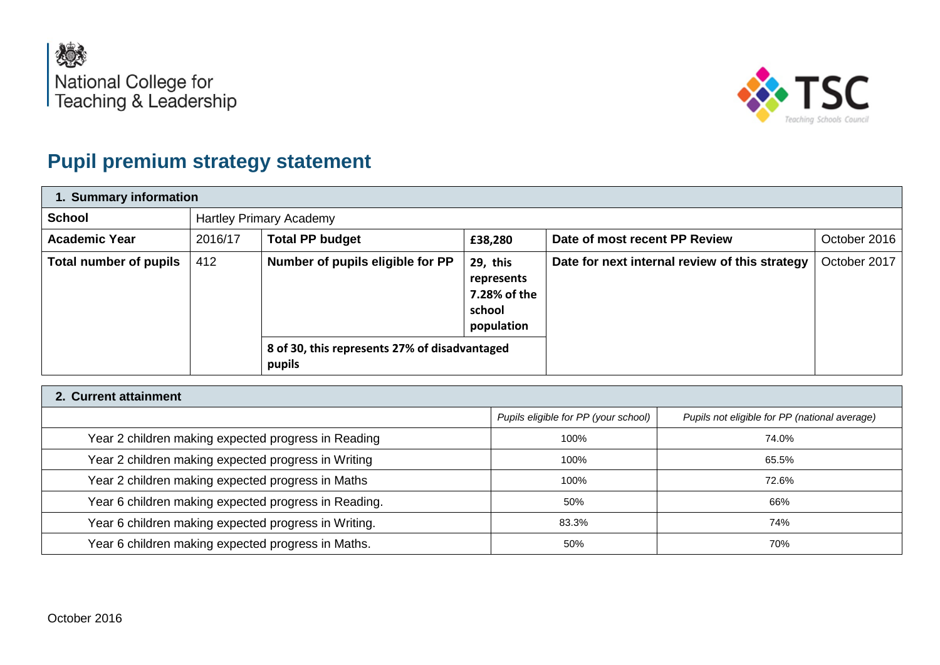



## **Pupil premium strategy statement**

| 1. Summary information |         |                                                                                             |                                                                |                                                |              |  |
|------------------------|---------|---------------------------------------------------------------------------------------------|----------------------------------------------------------------|------------------------------------------------|--------------|--|
| <b>School</b>          |         | <b>Hartley Primary Academy</b>                                                              |                                                                |                                                |              |  |
| <b>Academic Year</b>   | 2016/17 | <b>Total PP budget</b>                                                                      | £38,280                                                        | Date of most recent PP Review                  | October 2016 |  |
| Total number of pupils | 412     | Number of pupils eligible for PP<br>8 of 30, this represents 27% of disadvantaged<br>pupils | 29, this<br>represents<br>7.28% of the<br>school<br>population | Date for next internal review of this strategy | October 2017 |  |

| 2. Current attainment                                |                                      |                                               |  |  |  |
|------------------------------------------------------|--------------------------------------|-----------------------------------------------|--|--|--|
|                                                      | Pupils eligible for PP (your school) | Pupils not eligible for PP (national average) |  |  |  |
| Year 2 children making expected progress in Reading  | 100%                                 | 74.0%                                         |  |  |  |
| Year 2 children making expected progress in Writing  | 100%                                 | 65.5%                                         |  |  |  |
| Year 2 children making expected progress in Maths    | 100%                                 | 72.6%                                         |  |  |  |
| Year 6 children making expected progress in Reading. | 50%                                  | 66%                                           |  |  |  |
| Year 6 children making expected progress in Writing. | 83.3%                                | 74%                                           |  |  |  |
| Year 6 children making expected progress in Maths.   | 50%                                  | 70%                                           |  |  |  |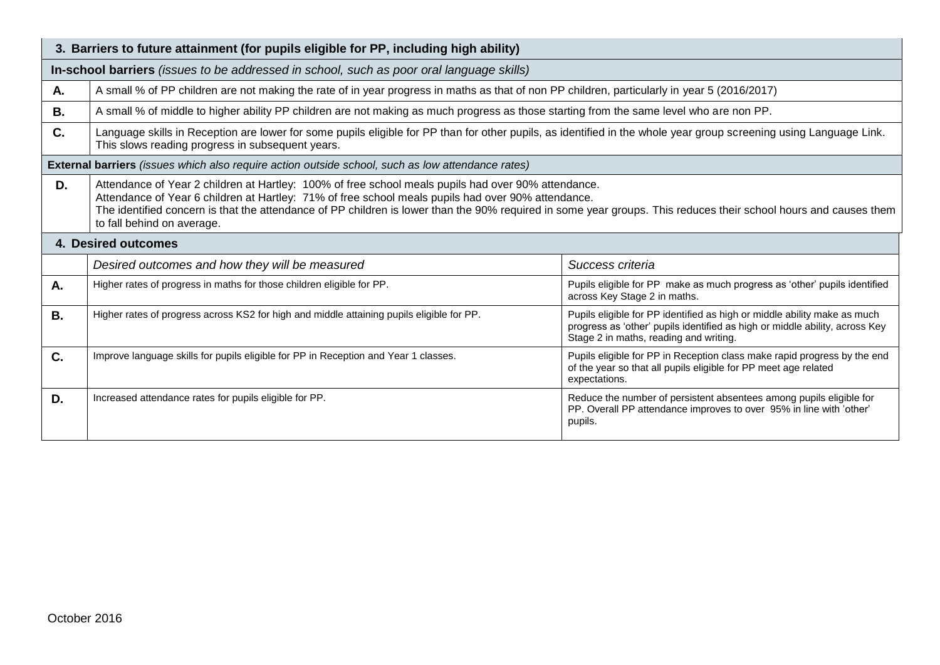| 3. Barriers to future attainment (for pupils eligible for PP, including high ability)    |                                                                                                                                                                                                                                                                                                                                                                                                             |                                                                                                                                                                                                   |  |  |  |
|------------------------------------------------------------------------------------------|-------------------------------------------------------------------------------------------------------------------------------------------------------------------------------------------------------------------------------------------------------------------------------------------------------------------------------------------------------------------------------------------------------------|---------------------------------------------------------------------------------------------------------------------------------------------------------------------------------------------------|--|--|--|
| In-school barriers (issues to be addressed in school, such as poor oral language skills) |                                                                                                                                                                                                                                                                                                                                                                                                             |                                                                                                                                                                                                   |  |  |  |
| Α.                                                                                       | A small % of PP children are not making the rate of in year progress in maths as that of non PP children, particularly in year 5 (2016/2017)                                                                                                                                                                                                                                                                |                                                                                                                                                                                                   |  |  |  |
| В.                                                                                       | A small % of middle to higher ability PP children are not making as much progress as those starting from the same level who are non PP.                                                                                                                                                                                                                                                                     |                                                                                                                                                                                                   |  |  |  |
| C.                                                                                       | Language skills in Reception are lower for some pupils eligible for PP than for other pupils, as identified in the whole year group screening using Language Link.<br>This slows reading progress in subsequent years.                                                                                                                                                                                      |                                                                                                                                                                                                   |  |  |  |
|                                                                                          | <b>External barriers</b> (issues which also require action outside school, such as low attendance rates)                                                                                                                                                                                                                                                                                                    |                                                                                                                                                                                                   |  |  |  |
| D.                                                                                       | Attendance of Year 2 children at Hartley: 100% of free school meals pupils had over 90% attendance.<br>Attendance of Year 6 children at Hartley: 71% of free school meals pupils had over 90% attendance.<br>The identified concern is that the attendance of PP children is lower than the 90% required in some year groups. This reduces their school hours and causes them<br>to fall behind on average. |                                                                                                                                                                                                   |  |  |  |
| <b>4. Desired outcomes</b>                                                               |                                                                                                                                                                                                                                                                                                                                                                                                             |                                                                                                                                                                                                   |  |  |  |
|                                                                                          | Desired outcomes and how they will be measured<br>Success criteria                                                                                                                                                                                                                                                                                                                                          |                                                                                                                                                                                                   |  |  |  |
| А.                                                                                       | Higher rates of progress in maths for those children eligible for PP.                                                                                                                                                                                                                                                                                                                                       | Pupils eligible for PP make as much progress as 'other' pupils identified<br>across Key Stage 2 in maths.                                                                                         |  |  |  |
| <b>B.</b>                                                                                | Higher rates of progress across KS2 for high and middle attaining pupils eligible for PP.                                                                                                                                                                                                                                                                                                                   | Pupils eligible for PP identified as high or middle ability make as much<br>progress as 'other' pupils identified as high or middle ability, across Key<br>Stage 2 in maths, reading and writing. |  |  |  |
| C.                                                                                       | Improve language skills for pupils eligible for PP in Reception and Year 1 classes.                                                                                                                                                                                                                                                                                                                         | Pupils eligible for PP in Reception class make rapid progress by the end<br>of the year so that all pupils eligible for PP meet age related<br>expectations.                                      |  |  |  |
| D.                                                                                       | Increased attendance rates for pupils eligible for PP.                                                                                                                                                                                                                                                                                                                                                      | Reduce the number of persistent absentees among pupils eligible for<br>PP. Overall PP attendance improves to over 95% in line with 'other'<br>pupils.                                             |  |  |  |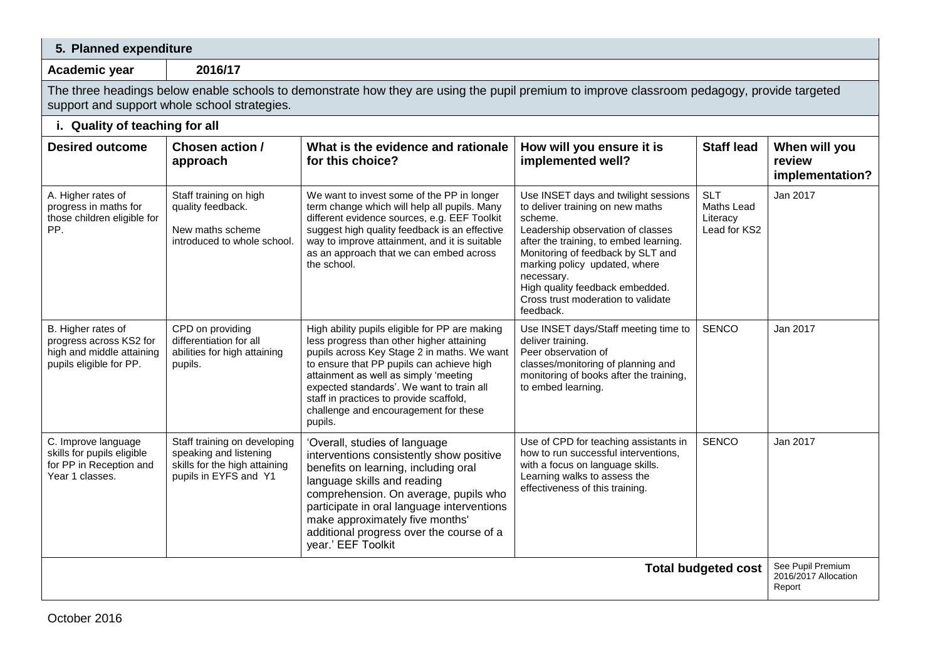| 5. Planned expenditure                                                                                |                                                                                                                                                                                             |                                                                                                                                                                                                                                                                                                                                                                              |                                                                                                                                                                                                                                                                                                                                              |                                                      |                                                     |  |  |
|-------------------------------------------------------------------------------------------------------|---------------------------------------------------------------------------------------------------------------------------------------------------------------------------------------------|------------------------------------------------------------------------------------------------------------------------------------------------------------------------------------------------------------------------------------------------------------------------------------------------------------------------------------------------------------------------------|----------------------------------------------------------------------------------------------------------------------------------------------------------------------------------------------------------------------------------------------------------------------------------------------------------------------------------------------|------------------------------------------------------|-----------------------------------------------------|--|--|
| Academic year                                                                                         | 2016/17                                                                                                                                                                                     |                                                                                                                                                                                                                                                                                                                                                                              |                                                                                                                                                                                                                                                                                                                                              |                                                      |                                                     |  |  |
|                                                                                                       | The three headings below enable schools to demonstrate how they are using the pupil premium to improve classroom pedagogy, provide targeted<br>support and support whole school strategies. |                                                                                                                                                                                                                                                                                                                                                                              |                                                                                                                                                                                                                                                                                                                                              |                                                      |                                                     |  |  |
| i. Quality of teaching for all                                                                        |                                                                                                                                                                                             |                                                                                                                                                                                                                                                                                                                                                                              |                                                                                                                                                                                                                                                                                                                                              |                                                      |                                                     |  |  |
| <b>Desired outcome</b>                                                                                | Chosen action /<br>approach                                                                                                                                                                 | What is the evidence and rationale<br>for this choice?                                                                                                                                                                                                                                                                                                                       | How will you ensure it is<br>implemented well?                                                                                                                                                                                                                                                                                               | <b>Staff lead</b>                                    | When will you<br>review<br>implementation?          |  |  |
| A. Higher rates of<br>progress in maths for<br>those children eligible for<br>PP.                     | Staff training on high<br>quality feedback.<br>New maths scheme<br>introduced to whole school.                                                                                              | We want to invest some of the PP in longer<br>term change which will help all pupils. Many<br>different evidence sources, e.g. EEF Toolkit<br>suggest high quality feedback is an effective<br>way to improve attainment, and it is suitable<br>as an approach that we can embed across<br>the school.                                                                       | Use INSET days and twilight sessions<br>to deliver training on new maths<br>scheme.<br>Leadership observation of classes<br>after the training, to embed learning.<br>Monitoring of feedback by SLT and<br>marking policy updated, where<br>necessary.<br>High quality feedback embedded.<br>Cross trust moderation to validate<br>feedback. | <b>SLT</b><br>Maths Lead<br>Literacy<br>Lead for KS2 | Jan 2017                                            |  |  |
| B. Higher rates of<br>progress across KS2 for<br>high and middle attaining<br>pupils eligible for PP. | CPD on providing<br>differentiation for all<br>abilities for high attaining<br>pupils.                                                                                                      | High ability pupils eligible for PP are making<br>less progress than other higher attaining<br>pupils across Key Stage 2 in maths. We want<br>to ensure that PP pupils can achieve high<br>attainment as well as simply 'meeting<br>expected standards'. We want to train all<br>staff in practices to provide scaffold,<br>challenge and encouragement for these<br>pupils. | Use INSET days/Staff meeting time to<br>deliver training.<br>Peer observation of<br>classes/monitoring of planning and<br>monitoring of books after the training,<br>to embed learning.                                                                                                                                                      | <b>SENCO</b>                                         | Jan 2017                                            |  |  |
| C. Improve language<br>skills for pupils eligible<br>for PP in Reception and<br>Year 1 classes.       | Staff training on developing<br>speaking and listening<br>skills for the high attaining<br>pupils in EYFS and Y1                                                                            | 'Overall, studies of language<br>interventions consistently show positive<br>benefits on learning, including oral<br>language skills and reading<br>comprehension. On average, pupils who<br>participate in oral language interventions<br>make approximately five months'<br>additional progress over the course of a<br>year.' EEF Toolkit                                 | Use of CPD for teaching assistants in<br>how to run successful interventions,<br>with a focus on language skills.<br>Learning walks to assess the<br>effectiveness of this training.                                                                                                                                                         | <b>SENCO</b>                                         | Jan 2017                                            |  |  |
| <b>Total budgeted cost</b>                                                                            |                                                                                                                                                                                             |                                                                                                                                                                                                                                                                                                                                                                              |                                                                                                                                                                                                                                                                                                                                              |                                                      | See Pupil Premium<br>2016/2017 Allocation<br>Report |  |  |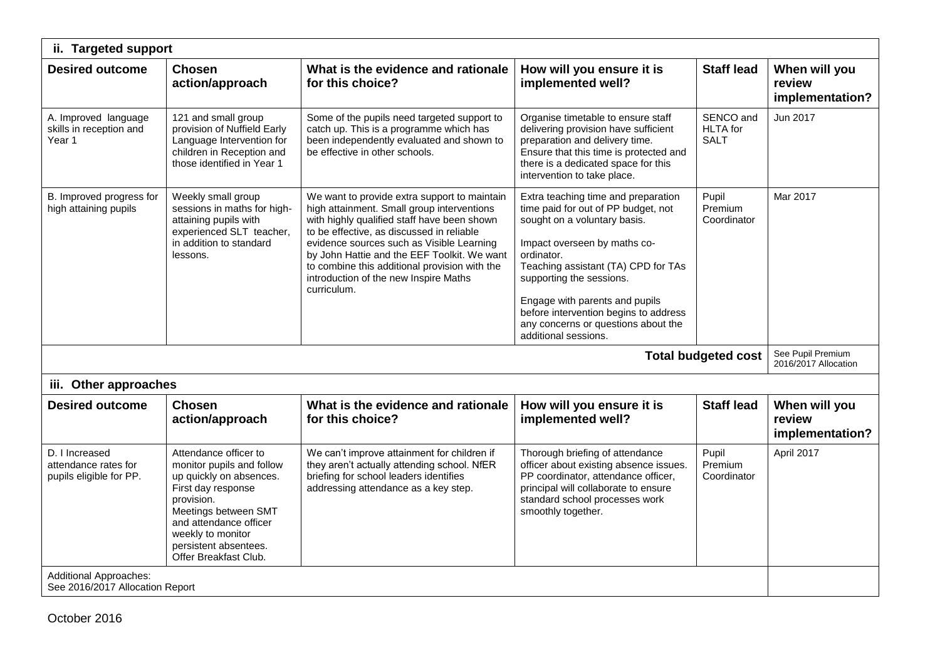| ii. Targeted support                                              |                                                                                                                                                                                                                                            |                                                                                                                                                                                                                                                                                                                                                                                             |                                                                                                                                                                                                                                                                                                                                                                       |                                             |                                            |  |
|-------------------------------------------------------------------|--------------------------------------------------------------------------------------------------------------------------------------------------------------------------------------------------------------------------------------------|---------------------------------------------------------------------------------------------------------------------------------------------------------------------------------------------------------------------------------------------------------------------------------------------------------------------------------------------------------------------------------------------|-----------------------------------------------------------------------------------------------------------------------------------------------------------------------------------------------------------------------------------------------------------------------------------------------------------------------------------------------------------------------|---------------------------------------------|--------------------------------------------|--|
| <b>Desired outcome</b>                                            | <b>Chosen</b><br>action/approach                                                                                                                                                                                                           | What is the evidence and rationale<br>for this choice?                                                                                                                                                                                                                                                                                                                                      | How will you ensure it is<br>implemented well?                                                                                                                                                                                                                                                                                                                        | <b>Staff lead</b>                           | When will you<br>review<br>implementation? |  |
| A. Improved language<br>skills in reception and<br>Year 1         | 121 and small group<br>provision of Nuffield Early<br>Language Intervention for<br>children in Reception and<br>those identified in Year 1                                                                                                 | Some of the pupils need targeted support to<br>catch up. This is a programme which has<br>been independently evaluated and shown to<br>be effective in other schools.                                                                                                                                                                                                                       | Organise timetable to ensure staff<br>delivering provision have sufficient<br>preparation and delivery time.<br>Ensure that this time is protected and<br>there is a dedicated space for this<br>intervention to take place.                                                                                                                                          | SENCO and<br><b>HLTA</b> for<br><b>SALT</b> | Jun 2017                                   |  |
| B. Improved progress for<br>high attaining pupils                 | Weekly small group<br>sessions in maths for high-<br>attaining pupils with<br>experienced SLT teacher,<br>in addition to standard<br>lessons.                                                                                              | We want to provide extra support to maintain<br>high attainment. Small group interventions<br>with highly qualified staff have been shown<br>to be effective, as discussed in reliable<br>evidence sources such as Visible Learning<br>by John Hattie and the EEF Toolkit. We want<br>to combine this additional provision with the<br>introduction of the new Inspire Maths<br>curriculum. | Extra teaching time and preparation<br>time paid for out of PP budget, not<br>sought on a voluntary basis.<br>Impact overseen by maths co-<br>ordinator.<br>Teaching assistant (TA) CPD for TAs<br>supporting the sessions.<br>Engage with parents and pupils<br>before intervention begins to address<br>any concerns or questions about the<br>additional sessions. | Pupil<br>Premium<br>Coordinator             | Mar 2017                                   |  |
|                                                                   |                                                                                                                                                                                                                                            |                                                                                                                                                                                                                                                                                                                                                                                             |                                                                                                                                                                                                                                                                                                                                                                       | <b>Total budgeted cost</b>                  | See Pupil Premium<br>2016/2017 Allocation  |  |
| iii. Other approaches                                             |                                                                                                                                                                                                                                            |                                                                                                                                                                                                                                                                                                                                                                                             |                                                                                                                                                                                                                                                                                                                                                                       |                                             |                                            |  |
| <b>Desired outcome</b>                                            | <b>Chosen</b><br>action/approach                                                                                                                                                                                                           | What is the evidence and rationale<br>for this choice?                                                                                                                                                                                                                                                                                                                                      | How will you ensure it is<br>implemented well?                                                                                                                                                                                                                                                                                                                        | <b>Staff lead</b>                           | When will you<br>review<br>implementation? |  |
| D. I Increased<br>attendance rates for<br>pupils eligible for PP. | Attendance officer to<br>monitor pupils and follow<br>up quickly on absences.<br>First day response<br>provision.<br>Meetings between SMT<br>and attendance officer<br>weekly to monitor<br>persistent absentees.<br>Offer Breakfast Club. | We can't improve attainment for children if<br>they aren't actually attending school. NfER<br>briefing for school leaders identifies<br>addressing attendance as a key step.                                                                                                                                                                                                                | Thorough briefing of attendance<br>officer about existing absence issues.<br>PP coordinator, attendance officer,<br>principal will collaborate to ensure<br>standard school processes work<br>smoothly together.                                                                                                                                                      | Pupil<br>Premium<br>Coordinator             | April 2017                                 |  |
| <b>Additional Approaches:</b><br>See 2016/2017 Allocation Report  |                                                                                                                                                                                                                                            |                                                                                                                                                                                                                                                                                                                                                                                             |                                                                                                                                                                                                                                                                                                                                                                       |                                             |                                            |  |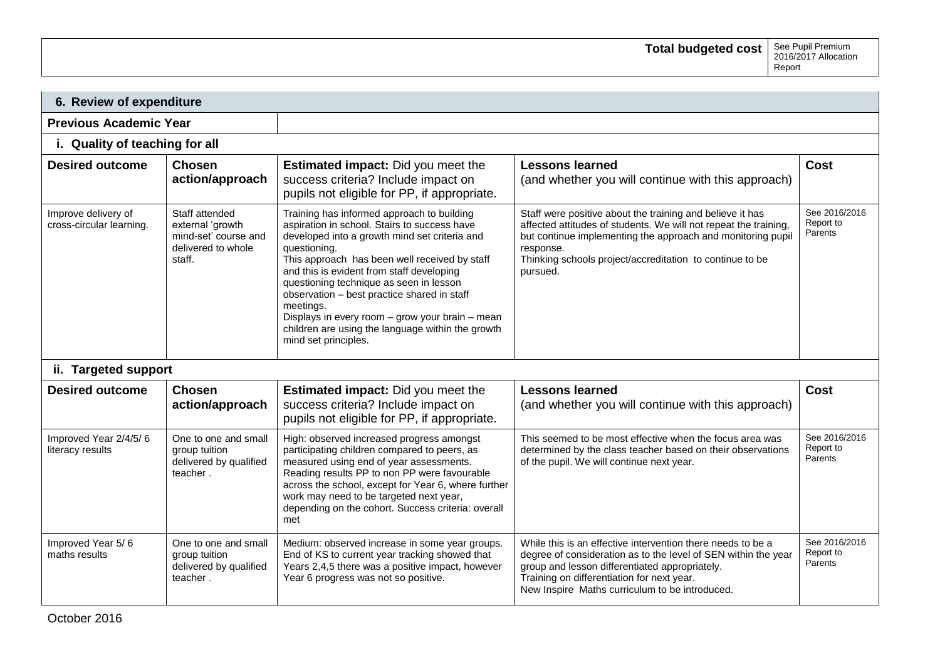| 6. Review of expenditure                        |                                                                                            |                                                                                                                                                                                                                                                                                                                                                                                                                                                                                                  |                                                                                                                                                                                                                                                                                   |                                       |  |  |  |
|-------------------------------------------------|--------------------------------------------------------------------------------------------|--------------------------------------------------------------------------------------------------------------------------------------------------------------------------------------------------------------------------------------------------------------------------------------------------------------------------------------------------------------------------------------------------------------------------------------------------------------------------------------------------|-----------------------------------------------------------------------------------------------------------------------------------------------------------------------------------------------------------------------------------------------------------------------------------|---------------------------------------|--|--|--|
| <b>Previous Academic Year</b>                   |                                                                                            |                                                                                                                                                                                                                                                                                                                                                                                                                                                                                                  |                                                                                                                                                                                                                                                                                   |                                       |  |  |  |
|                                                 | i. Quality of teaching for all                                                             |                                                                                                                                                                                                                                                                                                                                                                                                                                                                                                  |                                                                                                                                                                                                                                                                                   |                                       |  |  |  |
| <b>Desired outcome</b>                          | <b>Chosen</b><br>action/approach                                                           | <b>Estimated impact:</b> Did you meet the<br>success criteria? Include impact on<br>pupils not eligible for PP, if appropriate.                                                                                                                                                                                                                                                                                                                                                                  | <b>Lessons learned</b><br>(and whether you will continue with this approach)                                                                                                                                                                                                      | <b>Cost</b>                           |  |  |  |
| Improve delivery of<br>cross-circular learning. | Staff attended<br>external 'growth<br>mind-set' course and<br>delivered to whole<br>staff. | Training has informed approach to building<br>aspiration in school. Stairs to success have<br>developed into a growth mind set criteria and<br>questioning.<br>This approach has been well received by staff<br>and this is evident from staff developing<br>questioning technique as seen in lesson<br>observation - best practice shared in staff<br>meetings.<br>Displays in every room - grow your brain - mean<br>children are using the language within the growth<br>mind set principles. | Staff were positive about the training and believe it has<br>affected attitudes of students. We will not repeat the training,<br>but continue implementing the approach and monitoring pupil<br>response.<br>Thinking schools project/accreditation to continue to be<br>pursued. | See 2016/2016<br>Report to<br>Parents |  |  |  |
| ii. Targeted support                            |                                                                                            |                                                                                                                                                                                                                                                                                                                                                                                                                                                                                                  |                                                                                                                                                                                                                                                                                   |                                       |  |  |  |
| <b>Desired outcome</b>                          | <b>Chosen</b><br>action/approach                                                           | <b>Estimated impact:</b> Did you meet the<br>success criteria? Include impact on<br>pupils not eligible for PP, if appropriate.                                                                                                                                                                                                                                                                                                                                                                  | <b>Lessons learned</b><br>(and whether you will continue with this approach)                                                                                                                                                                                                      | <b>Cost</b>                           |  |  |  |
| Improved Year 2/4/5/6<br>literacy results       | One to one and small<br>group tuition<br>delivered by qualified<br>teacher.                | High: observed increased progress amongst<br>participating children compared to peers, as<br>measured using end of year assessments.<br>Reading results PP to non PP were favourable<br>across the school, except for Year 6, where further<br>work may need to be targeted next year,<br>depending on the cohort. Success criteria: overall<br>met                                                                                                                                              | This seemed to be most effective when the focus area was<br>determined by the class teacher based on their observations<br>of the pupil. We will continue next year.                                                                                                              | See 2016/2016<br>Report to<br>Parents |  |  |  |
| Improved Year 5/6<br>maths results              | One to one and small<br>group tuition<br>delivered by qualified<br>teacher.                | Medium: observed increase in some year groups.<br>End of KS to current year tracking showed that<br>Years 2,4,5 there was a positive impact, however<br>Year 6 progress was not so positive.                                                                                                                                                                                                                                                                                                     | While this is an effective intervention there needs to be a<br>degree of consideration as to the level of SEN within the year<br>group and lesson differentiated appropriately.<br>Training on differentiation for next year.<br>New Inspire Maths curriculum to be introduced.   | See 2016/2016<br>Report to<br>Parents |  |  |  |